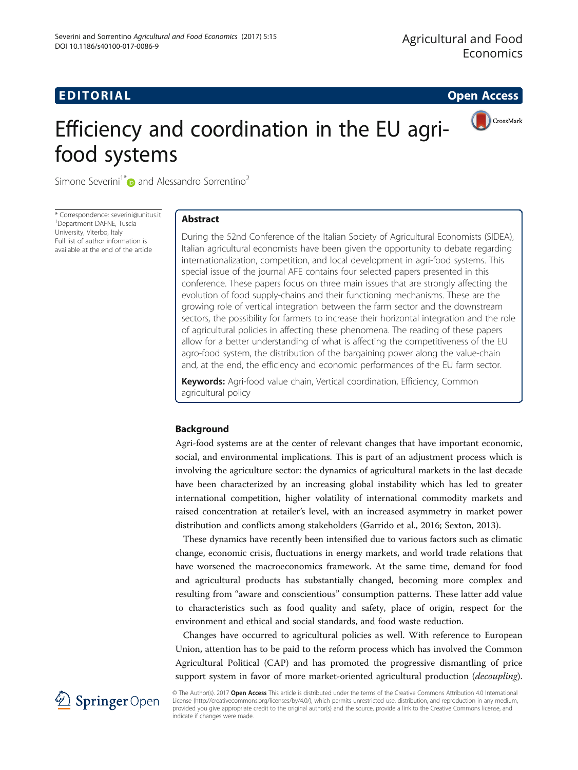## **EDITORIAL** CONTROL CONTROL CONTROL CONTROL CONTROL CONTROL CONTROL CONTROL CONTROL CONTROL CONTROL CONTROL CONTROL CONTROL CONTROL CONTROL CONTROL CONTROL CONTROL CONTROL CONTROL CONTROL CONTROL CONTROL CONTROL CONTROL CO

CrossMark

# Efficiency and coordination in the EU agrifood systems

Simone Severini<sup>1\*</sup> and Alessandro Sorrentino<sup>2</sup>

\* Correspondence: [severini@unitus.it](mailto:severini@unitus.it) <sup>1</sup> Department DAFNE, Tuscia University, Viterbo, Italy Full list of author information is available at the end of the article

## Abstract

During the 52nd Conference of the Italian Society of Agricultural Economists (SIDEA), Italian agricultural economists have been given the opportunity to debate regarding internationalization, competition, and local development in agri-food systems. This special issue of the journal AFE contains four selected papers presented in this conference. These papers focus on three main issues that are strongly affecting the evolution of food supply-chains and their functioning mechanisms. These are the growing role of vertical integration between the farm sector and the downstream sectors, the possibility for farmers to increase their horizontal integration and the role of agricultural policies in affecting these phenomena. The reading of these papers allow for a better understanding of what is affecting the competitiveness of the EU agro-food system, the distribution of the bargaining power along the value-chain and, at the end, the efficiency and economic performances of the EU farm sector.

Keywords: Agri-food value chain, Vertical coordination, Efficiency, Common agricultural policy

## Background

Agri-food systems are at the center of relevant changes that have important economic, social, and environmental implications. This is part of an adjustment process which is involving the agriculture sector: the dynamics of agricultural markets in the last decade have been characterized by an increasing global instability which has led to greater international competition, higher volatility of international commodity markets and raised concentration at retailer's level, with an increased asymmetry in market power distribution and conflicts among stakeholders (Garrido et al., [2016](#page-4-0); Sexton, [2013](#page-4-0)).

These dynamics have recently been intensified due to various factors such as climatic change, economic crisis, fluctuations in energy markets, and world trade relations that have worsened the macroeconomics framework. At the same time, demand for food and agricultural products has substantially changed, becoming more complex and resulting from "aware and conscientious" consumption patterns. These latter add value to characteristics such as food quality and safety, place of origin, respect for the environment and ethical and social standards, and food waste reduction.

Changes have occurred to agricultural policies as well. With reference to European Union, attention has to be paid to the reform process which has involved the Common Agricultural Political (CAP) and has promoted the progressive dismantling of price support system in favor of more market-oriented agricultural production (*decoupling*).



© The Author(s). 2017 Open Access This article is distributed under the terms of the Creative Commons Attribution 4.0 International License [\(http://creativecommons.org/licenses/by/4.0/](http://creativecommons.org/licenses/by/4.0/)), which permits unrestricted use, distribution, and reproduction in any medium, provided you give appropriate credit to the original author(s) and the source, provide a link to the Creative Commons license, and indicate if changes were made.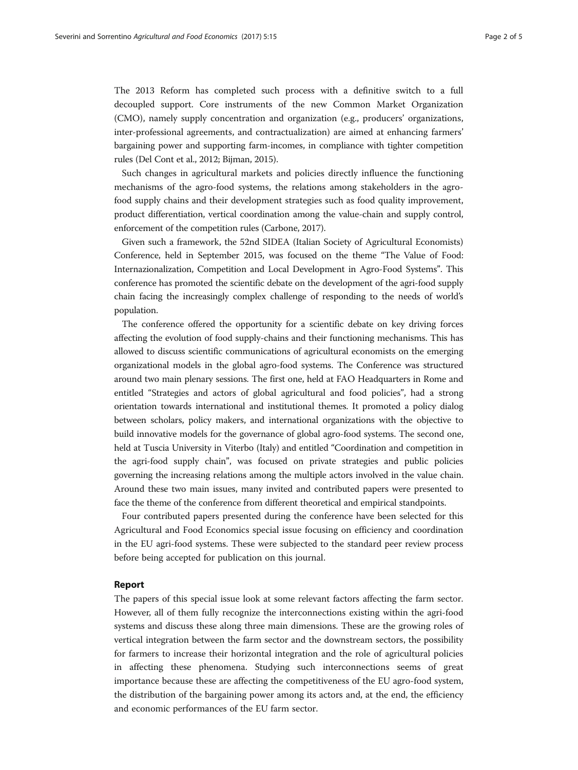The 2013 Reform has completed such process with a definitive switch to a full decoupled support. Core instruments of the new Common Market Organization (CMO), namely supply concentration and organization (e.g., producers' organizations, inter-professional agreements, and contractualization) are aimed at enhancing farmers' bargaining power and supporting farm-incomes, in compliance with tighter competition rules (Del Cont et al., [2012;](#page-4-0) Bijman, [2015\)](#page-3-0).

Such changes in agricultural markets and policies directly influence the functioning mechanisms of the agro-food systems, the relations among stakeholders in the agrofood supply chains and their development strategies such as food quality improvement, product differentiation, vertical coordination among the value-chain and supply control, enforcement of the competition rules (Carbone, [2017\)](#page-3-0).

Given such a framework, the 52nd SIDEA (Italian Society of Agricultural Economists) Conference, held in September 2015, was focused on the theme "The Value of Food: Internazionalization, Competition and Local Development in Agro-Food Systems". This conference has promoted the scientific debate on the development of the agri-food supply chain facing the increasingly complex challenge of responding to the needs of world's population.

The conference offered the opportunity for a scientific debate on key driving forces affecting the evolution of food supply-chains and their functioning mechanisms. This has allowed to discuss scientific communications of agricultural economists on the emerging organizational models in the global agro-food systems. The Conference was structured around two main plenary sessions. The first one, held at FAO Headquarters in Rome and entitled "Strategies and actors of global agricultural and food policies", had a strong orientation towards international and institutional themes. It promoted a policy dialog between scholars, policy makers, and international organizations with the objective to build innovative models for the governance of global agro-food systems. The second one, held at Tuscia University in Viterbo (Italy) and entitled "Coordination and competition in the agri-food supply chain", was focused on private strategies and public policies governing the increasing relations among the multiple actors involved in the value chain. Around these two main issues, many invited and contributed papers were presented to face the theme of the conference from different theoretical and empirical standpoints.

Four contributed papers presented during the conference have been selected for this Agricultural and Food Economics special issue focusing on efficiency and coordination in the EU agri-food systems. These were subjected to the standard peer review process before being accepted for publication on this journal.

## Report

The papers of this special issue look at some relevant factors affecting the farm sector. However, all of them fully recognize the interconnections existing within the agri-food systems and discuss these along three main dimensions. These are the growing roles of vertical integration between the farm sector and the downstream sectors, the possibility for farmers to increase their horizontal integration and the role of agricultural policies in affecting these phenomena. Studying such interconnections seems of great importance because these are affecting the competitiveness of the EU agro-food system, the distribution of the bargaining power among its actors and, at the end, the efficiency and economic performances of the EU farm sector.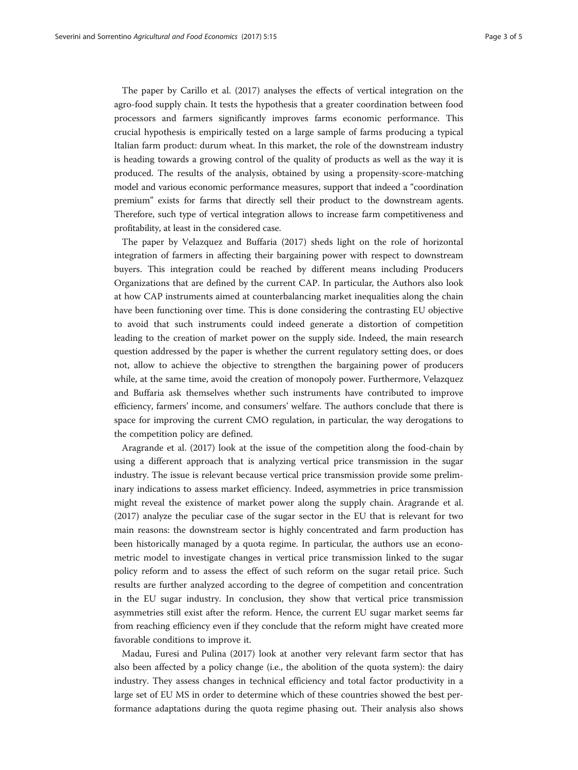The paper by Carillo et al. [\(2017\)](#page-3-0) analyses the effects of vertical integration on the agro-food supply chain. It tests the hypothesis that a greater coordination between food processors and farmers significantly improves farms economic performance. This crucial hypothesis is empirically tested on a large sample of farms producing a typical Italian farm product: durum wheat. In this market, the role of the downstream industry is heading towards a growing control of the quality of products as well as the way it is produced. The results of the analysis, obtained by using a propensity-score-matching model and various economic performance measures, support that indeed a "coordination premium" exists for farms that directly sell their product to the downstream agents. Therefore, such type of vertical integration allows to increase farm competitiveness and profitability, at least in the considered case.

The paper by Velazquez and Buffaria [\(2017\)](#page-4-0) sheds light on the role of horizontal integration of farmers in affecting their bargaining power with respect to downstream buyers. This integration could be reached by different means including Producers Organizations that are defined by the current CAP. In particular, the Authors also look at how CAP instruments aimed at counterbalancing market inequalities along the chain have been functioning over time. This is done considering the contrasting EU objective to avoid that such instruments could indeed generate a distortion of competition leading to the creation of market power on the supply side. Indeed, the main research question addressed by the paper is whether the current regulatory setting does, or does not, allow to achieve the objective to strengthen the bargaining power of producers while, at the same time, avoid the creation of monopoly power. Furthermore, Velazquez and Buffaria ask themselves whether such instruments have contributed to improve efficiency, farmers' income, and consumers' welfare. The authors conclude that there is space for improving the current CMO regulation, in particular, the way derogations to the competition policy are defined.

Aragrande et al. ([2017\)](#page-3-0) look at the issue of the competition along the food-chain by using a different approach that is analyzing vertical price transmission in the sugar industry. The issue is relevant because vertical price transmission provide some preliminary indications to assess market efficiency. Indeed, asymmetries in price transmission might reveal the existence of market power along the supply chain. Aragrande et al. ([2017](#page-3-0)) analyze the peculiar case of the sugar sector in the EU that is relevant for two main reasons: the downstream sector is highly concentrated and farm production has been historically managed by a quota regime. In particular, the authors use an econometric model to investigate changes in vertical price transmission linked to the sugar policy reform and to assess the effect of such reform on the sugar retail price. Such results are further analyzed according to the degree of competition and concentration in the EU sugar industry. In conclusion, they show that vertical price transmission asymmetries still exist after the reform. Hence, the current EU sugar market seems far from reaching efficiency even if they conclude that the reform might have created more favorable conditions to improve it.

Madau, Furesi and Pulina [\(2017\)](#page-4-0) look at another very relevant farm sector that has also been affected by a policy change (i.e., the abolition of the quota system): the dairy industry. They assess changes in technical efficiency and total factor productivity in a large set of EU MS in order to determine which of these countries showed the best performance adaptations during the quota regime phasing out. Their analysis also shows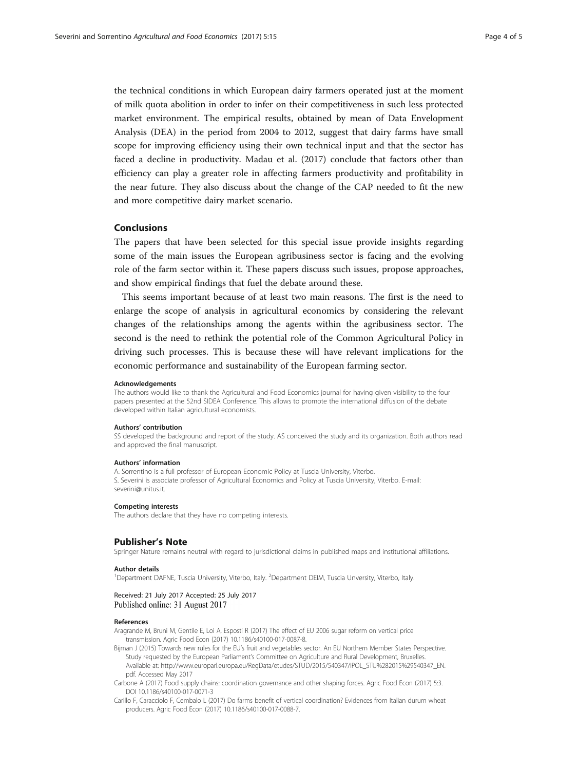<span id="page-3-0"></span>the technical conditions in which European dairy farmers operated just at the moment of milk quota abolition in order to infer on their competitiveness in such less protected market environment. The empirical results, obtained by mean of Data Envelopment Analysis (DEA) in the period from 2004 to 2012, suggest that dairy farms have small scope for improving efficiency using their own technical input and that the sector has faced a decline in productivity. Madau et al. ([2017](#page-4-0)) conclude that factors other than efficiency can play a greater role in affecting farmers productivity and profitability in the near future. They also discuss about the change of the CAP needed to fit the new and more competitive dairy market scenario.

### Conclusions

The papers that have been selected for this special issue provide insights regarding some of the main issues the European agribusiness sector is facing and the evolving role of the farm sector within it. These papers discuss such issues, propose approaches, and show empirical findings that fuel the debate around these.

This seems important because of at least two main reasons. The first is the need to enlarge the scope of analysis in agricultural economics by considering the relevant changes of the relationships among the agents within the agribusiness sector. The second is the need to rethink the potential role of the Common Agricultural Policy in driving such processes. This is because these will have relevant implications for the economic performance and sustainability of the European farming sector.

#### Acknowledgements

The authors would like to thank the Agricultural and Food Economics journal for having given visibility to the four papers presented at the 52nd SIDEA Conference. This allows to promote the international diffusion of the debate developed within Italian agricultural economists.

#### Authors' contribution

SS developed the background and report of the study. AS conceived the study and its organization. Both authors read and approved the final manuscript.

#### Authors' information

A. Sorrentino is a full professor of European Economic Policy at Tuscia University, Viterbo. S. Severini is associate professor of Agricultural Economics and Policy at Tuscia University, Viterbo. E-mail: severini@unitus.it.

#### Competing interests

The authors declare that they have no competing interests.

#### Publisher's Note

Springer Nature remains neutral with regard to jurisdictional claims in published maps and institutional affiliations.

#### Author details

<sup>1</sup>Department DAFNE, Tuscia University, Viterbo, Italy. <sup>2</sup>Department DEIM, Tuscia Unversity, Viterbo, Italy.

#### Received: 21 July 2017 Accepted: 25 July 2017 Published online: 31 August 2017

#### References

Aragrande M, Bruni M, Gentile E, Loi A, Esposti R (2017) The effect of EU 2006 sugar reform on vertical price transmission. Agric Food Econ (2017) 10.1186/s40100-017-0087-8.

- Bijman J (2015) Towards new rules for the EU's fruit and vegetables sector. An EU Northern Member States Perspective. Study requested by the European Parliament's Committee on Agriculture and Rural Development, Bruxelles. Available at: [http://www.europarl.europa.eu/RegData/etudes/STUD/2015/540347/IPOL\\_STU%282015%29540347\\_EN.](http://www.europarl.europa.eu/RegData/etudes/STUD/2015/540347/IPOL_STU%282015%29540347_EN.pdf) [pdf](http://www.europarl.europa.eu/RegData/etudes/STUD/2015/540347/IPOL_STU%282015%29540347_EN.pdf). Accessed May 2017
- Carbone A (2017) Food supply chains: coordination governance and other shaping forces. Agric Food Econ (2017) 5:3. DOI [10.1186/s40100-017-0071-3](http://dx.doi.org/10.1186/s40100-017-0071-3)
- Carillo F, Caracciolo F, Cembalo L (2017) Do farms benefit of vertical coordination? Evidences from Italian durum wheat producers. Agric Food Econ (2017) 10.1186/s40100-017-0088-7.